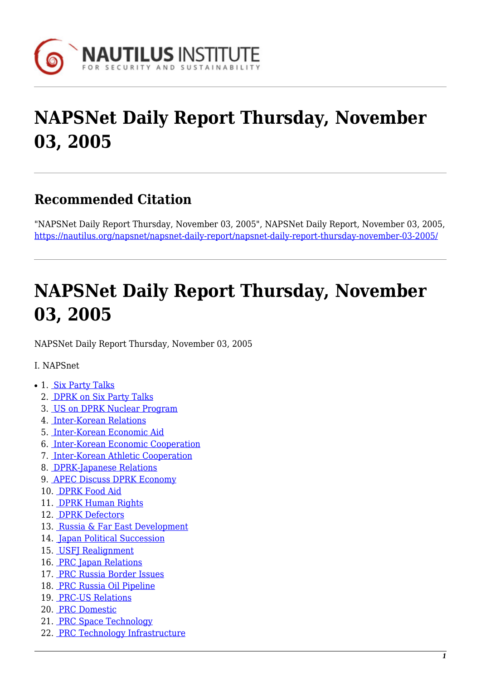

# **NAPSNet Daily Report Thursday, November 03, 2005**

# **Recommended Citation**

"NAPSNet Daily Report Thursday, November 03, 2005", NAPSNet Daily Report, November 03, 2005, <https://nautilus.org/napsnet/napsnet-daily-report/napsnet-daily-report-thursday-november-03-2005/>

# **NAPSNet Daily Report Thursday, November 03, 2005**

<span id="page-0-0"></span>NAPSNet Daily Report Thursday, November 03, 2005

I. NAPSnet

- 1. [Six Party Talks](#page-1-0)
	- 2. [DPRK on Six Party Talks](#page-1-1)
	- 3. [US on DPRK Nuclear Program](#page-1-2)
	- 4. [Inter-Korean Relations](#page-2-0)
	- 5. [Inter-Korean Economic Aid](#page-2-1)
	- 6. [Inter-Korean Economic Cooperation](#page-2-2)
	- 7. [Inter-Korean Athletic Cooperation](#page-2-3)
	- 8. [DPRK-Japanese Relations](#page-2-4)
	- 9. [APEC Discuss DPRK Economy](#page-3-0)
	- 10. [DPRK Food Aid](#page-3-1)
	- 11. [DPRK Human Rights](#page-3-2)
	- 12. [DPRK Defectors](#page-4-0)
	- 13. [Russia & Far East Development](#page-4-1)
	- 14. [Japan Political Succession](#page-4-2)
	- 15. [USFJ Realignment](#page-4-3)
	- 16. [PRC Japan Relations](#page-5-0)
	- 17. [PRC Russia Border Issues](#page-5-1)
	- 18. [PRC Russia Oil Pipeline](#page-5-2)
	- 19. [PRC-US Relations](#page-5-3)
	- 20. [PRC Domestic](#page-5-4)
	- 21. [PRC Space Technology](#page-6-0)
	- 22. [PRC Technology Infrastructure](#page-6-1)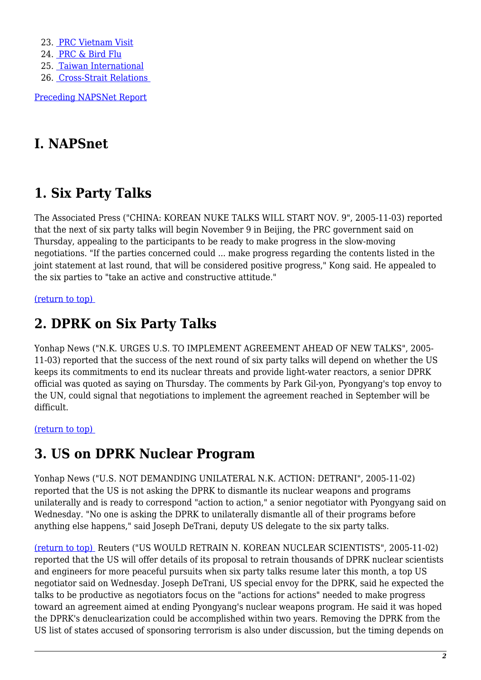23. [PRC Vietnam Visit](#page-6-2)

- 24. [PRC & Bird Flu](#page-6-3)
- 25. [Taiwan International](#page-6-4)
- 26. [Cross-Strait Relations](#page-7-0)

[Preceding NAPSNet Report](https://nautilus.org/mailing-lists/napsnet/dr/2005-2/napsnet-daily-report-wednesday-november-02-2005/)

# **I. NAPSnet**

# <span id="page-1-0"></span>**1. Six Party Talks**

The Associated Press ("CHINA: KOREAN NUKE TALKS WILL START NOV. 9", 2005-11-03) reported that the next of six party talks will begin November 9 in Beijing, the PRC government said on Thursday, appealing to the participants to be ready to make progress in the slow-moving negotiations. "If the parties concerned could ... make progress regarding the contents listed in the joint statement at last round, that will be considered positive progress," Kong said. He appealed to the six parties to "take an active and constructive attitude."

### <span id="page-1-1"></span>[\(return to top\)](#page-0-0)

# **2. DPRK on Six Party Talks**

Yonhap News ("N.K. URGES U.S. TO IMPLEMENT AGREEMENT AHEAD OF NEW TALKS", 2005- 11-03) reported that the success of the next round of six party talks will depend on whether the US keeps its commitments to end its nuclear threats and provide light-water reactors, a senior DPRK official was quoted as saying on Thursday. The comments by Park Gil-yon, Pyongyang's top envoy to the UN, could signal that negotiations to implement the agreement reached in September will be difficult.

### <span id="page-1-2"></span>[\(return to top\)](#page-0-0)

# **3. US on DPRK Nuclear Program**

Yonhap News ("U.S. NOT DEMANDING UNILATERAL N.K. ACTION: DETRANI", 2005-11-02) reported that the US is not asking the DPRK to dismantle its nuclear weapons and programs unilaterally and is ready to correspond "action to action," a senior negotiator with Pyongyang said on Wednesday. "No one is asking the DPRK to unilaterally dismantle all of their programs before anything else happens," said Joseph DeTrani, deputy US delegate to the six party talks.

[\(return to top\)](#page-0-0) Reuters ("US WOULD RETRAIN N. KOREAN NUCLEAR SCIENTISTS", 2005-11-02) reported that the US will offer details of its proposal to retrain thousands of DPRK nuclear scientists and engineers for more peaceful pursuits when six party talks resume later this month, a top US negotiator said on Wednesday. Joseph DeTrani, US special envoy for the DPRK, said he expected the talks to be productive as negotiators focus on the "actions for actions" needed to make progress toward an agreement aimed at ending Pyongyang's nuclear weapons program. He said it was hoped the DPRK's denuclearization could be accomplished within two years. Removing the DPRK from the US list of states accused of sponsoring terrorism is also under discussion, but the timing depends on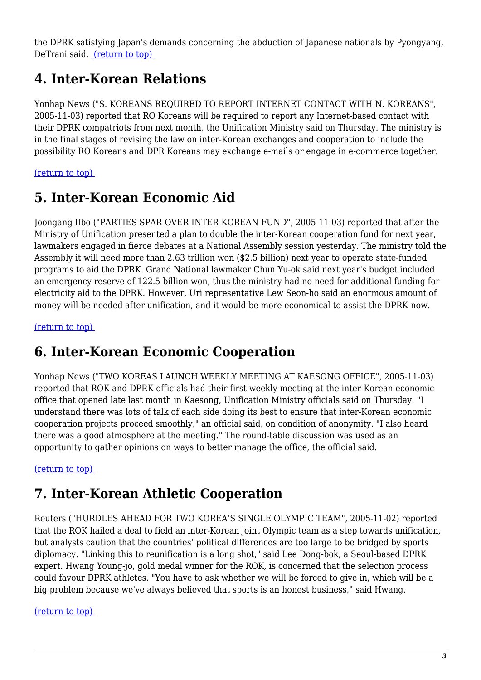<span id="page-2-0"></span>the DPRK satisfying Japan's demands concerning the abduction of Japanese nationals by Pyongyang, DeTrani said. [\(return to top\)](#page-0-0) 

## **4. Inter-Korean Relations**

Yonhap News ("S. KOREANS REQUIRED TO REPORT INTERNET CONTACT WITH N. KOREANS", 2005-11-03) reported that RO Koreans will be required to report any Internet-based contact with their DPRK compatriots from next month, the Unification Ministry said on Thursday. The ministry is in the final stages of revising the law on inter-Korean exchanges and cooperation to include the possibility RO Koreans and DPR Koreans may exchange e-mails or engage in e-commerce together.

### <span id="page-2-1"></span>[\(return to top\)](#page-0-0)

# **5. Inter-Korean Economic Aid**

Joongang Ilbo ("PARTIES SPAR OVER INTER-KOREAN FUND", 2005-11-03) reported that after the Ministry of Unification presented a plan to double the inter-Korean cooperation fund for next year, lawmakers engaged in fierce debates at a National Assembly session yesterday. The ministry told the Assembly it will need more than 2.63 trillion won (\$2.5 billion) next year to operate state-funded programs to aid the DPRK. Grand National lawmaker Chun Yu-ok said next year's budget included an emergency reserve of 122.5 billion won, thus the ministry had no need for additional funding for electricity aid to the DPRK. However, Uri representative Lew Seon-ho said an enormous amount of money will be needed after unification, and it would be more economical to assist the DPRK now.

<span id="page-2-2"></span>[\(return to top\)](#page-0-0) 

# **6. Inter-Korean Economic Cooperation**

Yonhap News ("TWO KOREAS LAUNCH WEEKLY MEETING AT KAESONG OFFICE", 2005-11-03) reported that ROK and DPRK officials had their first weekly meeting at the inter-Korean economic office that opened late last month in Kaesong, Unification Ministry officials said on Thursday. "I understand there was lots of talk of each side doing its best to ensure that inter-Korean economic cooperation projects proceed smoothly," an official said, on condition of anonymity. "I also heard there was a good atmosphere at the meeting." The round-table discussion was used as an opportunity to gather opinions on ways to better manage the office, the official said.

### <span id="page-2-3"></span>[\(return to top\)](#page-0-0)

# **7. Inter-Korean Athletic Cooperation**

Reuters ("HURDLES AHEAD FOR TWO KOREA'S SINGLE OLYMPIC TEAM", 2005-11-02) reported that the ROK hailed a deal to field an inter-Korean joint Olympic team as a step towards unification, but analysts caution that the countries' political differences are too large to be bridged by sports diplomacy. "Linking this to reunification is a long shot," said Lee Dong-bok, a Seoul-based DPRK expert. Hwang Young-jo, gold medal winner for the ROK, is concerned that the selection process could favour DPRK athletes. "You have to ask whether we will be forced to give in, which will be a big problem because we've always believed that sports is an honest business," said Hwang.

### <span id="page-2-4"></span>[\(return to top\)](#page-0-0)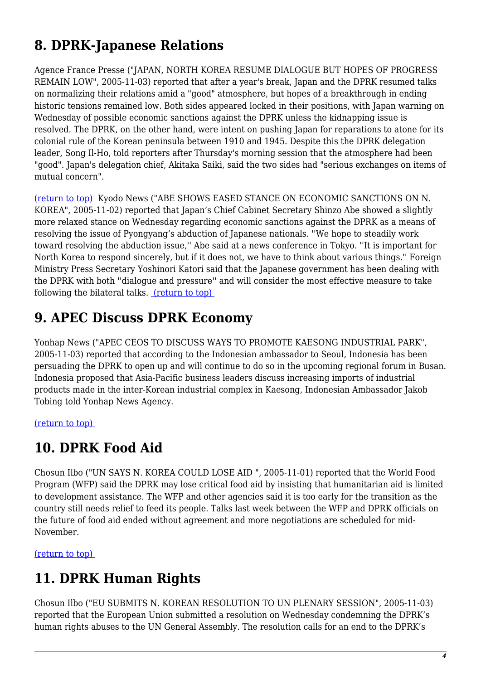# **8. DPRK-Japanese Relations**

Agence France Presse ("JAPAN, NORTH KOREA RESUME DIALOGUE BUT HOPES OF PROGRESS REMAIN LOW", 2005-11-03) reported that after a year's break, Japan and the DPRK resumed talks on normalizing their relations amid a "good" atmosphere, but hopes of a breakthrough in ending historic tensions remained low. Both sides appeared locked in their positions, with Japan warning on Wednesday of possible economic sanctions against the DPRK unless the kidnapping issue is resolved. The DPRK, on the other hand, were intent on pushing Japan for reparations to atone for its colonial rule of the Korean peninsula between 1910 and 1945. Despite this the DPRK delegation leader, Song Il-Ho, told reporters after Thursday's morning session that the atmosphere had been "good". Japan's delegation chief, Akitaka Saiki, said the two sides had "serious exchanges on items of mutual concern".

[\(return to top\)](#page-0-0) Kyodo News ("ABE SHOWS EASED STANCE ON ECONOMIC SANCTIONS ON N. KOREA", 2005-11-02) reported that Japan's Chief Cabinet Secretary Shinzo Abe showed a slightly more relaxed stance on Wednesday regarding economic sanctions against the DPRK as a means of resolving the issue of Pyongyang's abduction of Japanese nationals. ''We hope to steadily work toward resolving the abduction issue,'' Abe said at a news conference in Tokyo. ''It is important for North Korea to respond sincerely, but if it does not, we have to think about various things.'' Foreign Ministry Press Secretary Yoshinori Katori said that the Japanese government has been dealing with the DPRK with both ''dialogue and pressure'' and will consider the most effective measure to take following the bilateral talks. [\(return to top\)](#page-0-0) 

# <span id="page-3-0"></span>**9. APEC Discuss DPRK Economy**

Yonhap News ("APEC CEOS TO DISCUSS WAYS TO PROMOTE KAESONG INDUSTRIAL PARK", 2005-11-03) reported that according to the Indonesian ambassador to Seoul, Indonesia has been persuading the DPRK to open up and will continue to do so in the upcoming regional forum in Busan. Indonesia proposed that Asia-Pacific business leaders discuss increasing imports of industrial products made in the inter-Korean industrial complex in Kaesong, Indonesian Ambassador Jakob Tobing told Yonhap News Agency.

<span id="page-3-1"></span>[\(return to top\)](#page-0-0) 

# **10. DPRK Food Aid**

Chosun Ilbo ("UN SAYS N. KOREA COULD LOSE AID ", 2005-11-01) reported that the World Food Program (WFP) said the DPRK may lose critical food aid by insisting that humanitarian aid is limited to development assistance. The WFP and other agencies said it is too early for the transition as the country still needs relief to feed its people. Talks last week between the WFP and DPRK officials on the future of food aid ended without agreement and more negotiations are scheduled for mid-November.

<span id="page-3-2"></span>[\(return to top\)](#page-0-0) 

# **11. DPRK Human Rights**

Chosun Ilbo ("EU SUBMITS N. KOREAN RESOLUTION TO UN PLENARY SESSION", 2005-11-03) reported that the European Union submitted a resolution on Wednesday condemning the DPRK's human rights abuses to the UN General Assembly. The resolution calls for an end to the DPRK's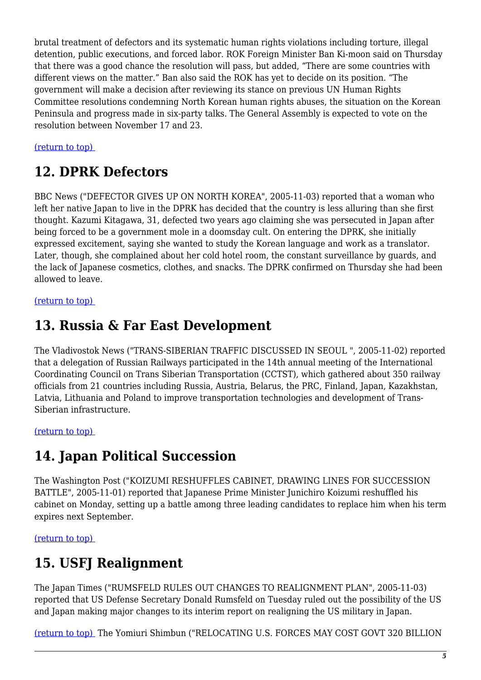brutal treatment of defectors and its systematic human rights violations including torture, illegal detention, public executions, and forced labor. ROK Foreign Minister Ban Ki-moon said on Thursday that there was a good chance the resolution will pass, but added, "There are some countries with different views on the matter." Ban also said the ROK has yet to decide on its position. "The government will make a decision after reviewing its stance on previous UN Human Rights Committee resolutions condemning North Korean human rights abuses, the situation on the Korean Peninsula and progress made in six-party talks. The General Assembly is expected to vote on the resolution between November 17 and 23.

### <span id="page-4-0"></span>[\(return to top\)](#page-0-0)

### **12. DPRK Defectors**

BBC News ("DEFECTOR GIVES UP ON NORTH KOREA", 2005-11-03) reported that a woman who left her native Japan to live in the DPRK has decided that the country is less alluring than she first thought. Kazumi Kitagawa, 31, defected two years ago claiming she was persecuted in Japan after being forced to be a government mole in a doomsday cult. On entering the DPRK, she initially expressed excitement, saying she wanted to study the Korean language and work as a translator. Later, though, she complained about her cold hotel room, the constant surveillance by guards, and the lack of Japanese cosmetics, clothes, and snacks. The DPRK confirmed on Thursday she had been allowed to leave.

#### <span id="page-4-1"></span>[\(return to top\)](#page-0-0)

### **13. Russia & Far East Development**

The Vladivostok News ("TRANS-SIBERIAN TRAFFIC DISCUSSED IN SEOUL ", 2005-11-02) reported that a delegation of Russian Railways participated in the 14th annual meeting of the International Coordinating Council on Trans Siberian Transportation (CCTST), which gathered about 350 railway officials from 21 countries including Russia, Austria, Belarus, the PRC, Finland, Japan, Kazakhstan, Latvia, Lithuania and Poland to improve transportation technologies and development of Trans-Siberian infrastructure.

#### <span id="page-4-2"></span>[\(return to top\)](#page-0-0)

### **14. Japan Political Succession**

The Washington Post ("KOIZUMI RESHUFFLES CABINET, DRAWING LINES FOR SUCCESSION BATTLE", 2005-11-01) reported that Japanese Prime Minister Junichiro Koizumi reshuffled his cabinet on Monday, setting up a battle among three leading candidates to replace him when his term expires next September.

#### <span id="page-4-3"></span>[\(return to top\)](#page-0-0)

# **15. USFJ Realignment**

The Japan Times ("RUMSFELD RULES OUT CHANGES TO REALIGNMENT PLAN", 2005-11-03) reported that US Defense Secretary Donald Rumsfeld on Tuesday ruled out the possibility of the US and Japan making major changes to its interim report on realigning the US military in Japan.

[\(return to top\)](#page-0-0) The Yomiuri Shimbun ("RELOCATING U.S. FORCES MAY COST GOVT 320 BILLION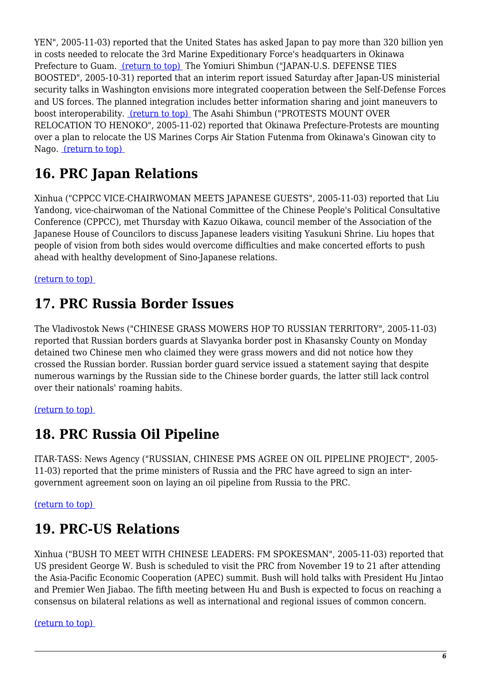YEN", 2005-11-03) reported that the United States has asked Japan to pay more than 320 billion yen in costs needed to relocate the 3rd Marine Expeditionary Force's headquarters in Okinawa Prefecture to Guam. [\(return to top\)](#page-0-0) The Yomiuri Shimbun ("JAPAN-U.S. DEFENSE TIES BOOSTED", 2005-10-31) reported that an interim report issued Saturday after Japan-US ministerial security talks in Washington envisions more integrated cooperation between the Self-Defense Forces and US forces. The planned integration includes better information sharing and joint maneuvers to boost interoperability. [\(return to top\)](#page-0-0) The Asahi Shimbun ("PROTESTS MOUNT OVER RELOCATION TO HENOKO", 2005-11-02) reported that Okinawa Prefecture-Protests are mounting over a plan to relocate the US Marines Corps Air Station Futenma from Okinawa's Ginowan city to Nago. [\(return to top\)](#page-0-0) 

# <span id="page-5-0"></span>**16. PRC Japan Relations**

Xinhua ("CPPCC VICE-CHAIRWOMAN MEETS JAPANESE GUESTS", 2005-11-03) reported that Liu Yandong, vice-chairwoman of the National Committee of the Chinese People's Political Consultative Conference (CPPCC), met Thursday with Kazuo Oikawa, council member of the Association of the Japanese House of Councilors to discuss Japanese leaders visiting Yasukuni Shrine. Liu hopes that people of vision from both sides would overcome difficulties and make concerted efforts to push ahead with healthy development of Sino-Japanese relations.

<span id="page-5-1"></span>[\(return to top\)](#page-0-0) 

# **17. PRC Russia Border Issues**

The Vladivostok News ("CHINESE GRASS MOWERS HOP TO RUSSIAN TERRITORY", 2005-11-03) reported that Russian borders guards at Slavyanka border post in Khasansky County on Monday detained two Chinese men who claimed they were grass mowers and did not notice how they crossed the Russian border. Russian border guard service issued a statement saying that despite numerous warnings by the Russian side to the Chinese border guards, the latter still lack control over their nationals' roaming habits.

### <span id="page-5-2"></span>[\(return to top\)](#page-0-0)

# **18. PRC Russia Oil Pipeline**

ITAR-TASS: News Agency ("RUSSIAN, CHINESE PMS AGREE ON OIL PIPELINE PROJECT", 2005- 11-03) reported that the prime ministers of Russia and the PRC have agreed to sign an intergovernment agreement soon on laying an oil pipeline from Russia to the PRC.

<span id="page-5-3"></span>[\(return to top\)](#page-0-0) 

# **19. PRC-US Relations**

Xinhua ("BUSH TO MEET WITH CHINESE LEADERS: FM SPOKESMAN", 2005-11-03) reported that US president George W. Bush is scheduled to visit the PRC from November 19 to 21 after attending the Asia-Pacific Economic Cooperation (APEC) summit. Bush will hold talks with President Hu Jintao and Premier Wen Jiabao. The fifth meeting between Hu and Bush is expected to focus on reaching a consensus on bilateral relations as well as international and regional issues of common concern.

<span id="page-5-4"></span>[\(return to top\)](#page-0-0)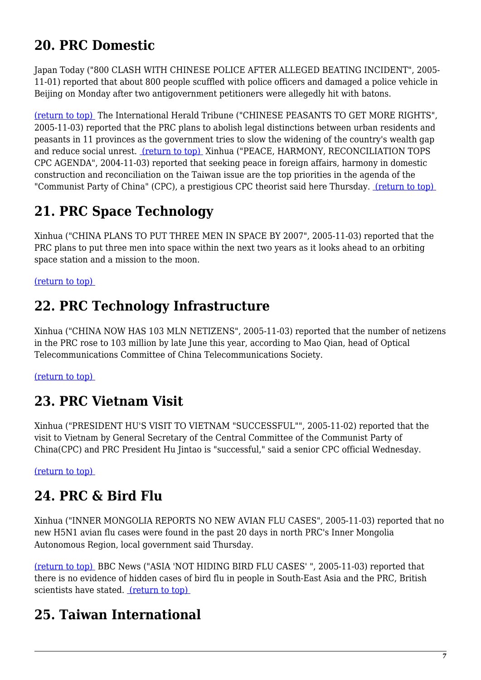# **20. PRC Domestic**

Japan Today ("800 CLASH WITH CHINESE POLICE AFTER ALLEGED BEATING INCIDENT", 2005- 11-01) reported that about 800 people scuffled with police officers and damaged a police vehicle in Beijing on Monday after two antigovernment petitioners were allegedly hit with batons.

[\(return to top\)](#page-0-0) The International Herald Tribune ("CHINESE PEASANTS TO GET MORE RIGHTS", 2005-11-03) reported that the PRC plans to abolish legal distinctions between urban residents and peasants in 11 provinces as the government tries to slow the widening of the country's wealth gap and reduce social unrest. [\(return to top\)](#page-0-0) Xinhua ("PEACE, HARMONY, RECONCILIATION TOPS CPC AGENDA", 2004-11-03) reported that seeking peace in foreign affairs, harmony in domestic construction and reconciliation on the Taiwan issue are the top priorities in the agenda of the "Communist Party of China" (CPC), a prestigious CPC theorist said here Thursday. (return to top)

# <span id="page-6-0"></span>**21. PRC Space Technology**

Xinhua ("CHINA PLANS TO PUT THREE MEN IN SPACE BY 2007", 2005-11-03) reported that the PRC plans to put three men into space within the next two years as it looks ahead to an orbiting space station and a mission to the moon.

### <span id="page-6-1"></span>[\(return to top\)](#page-0-0)

## **22. PRC Technology Infrastructure**

Xinhua ("CHINA NOW HAS 103 MLN NETIZENS", 2005-11-03) reported that the number of netizens in the PRC rose to 103 million by late June this year, according to Mao Qian, head of Optical Telecommunications Committee of China Telecommunications Society.

### <span id="page-6-2"></span>[\(return to top\)](#page-0-0)

### **23. PRC Vietnam Visit**

Xinhua ("PRESIDENT HU'S VISIT TO VIETNAM "SUCCESSFUL"", 2005-11-02) reported that the visit to Vietnam by General Secretary of the Central Committee of the Communist Party of China(CPC) and PRC President Hu Jintao is "successful," said a senior CPC official Wednesday.

<span id="page-6-3"></span>[\(return to top\)](#page-0-0) 

# **24. PRC & Bird Flu**

Xinhua ("INNER MONGOLIA REPORTS NO NEW AVIAN FLU CASES", 2005-11-03) reported that no new H5N1 avian flu cases were found in the past 20 days in north PRC's Inner Mongolia Autonomous Region, local government said Thursday.

<span id="page-6-4"></span>[\(return to top\)](#page-0-0) BBC News ("ASIA 'NOT HIDING BIRD FLU CASES' ", 2005-11-03) reported that there is no evidence of hidden cases of bird flu in people in South-East Asia and the PRC, British scientists have stated. [\(return to top\)](#page-0-0) 

# **25. Taiwan International**